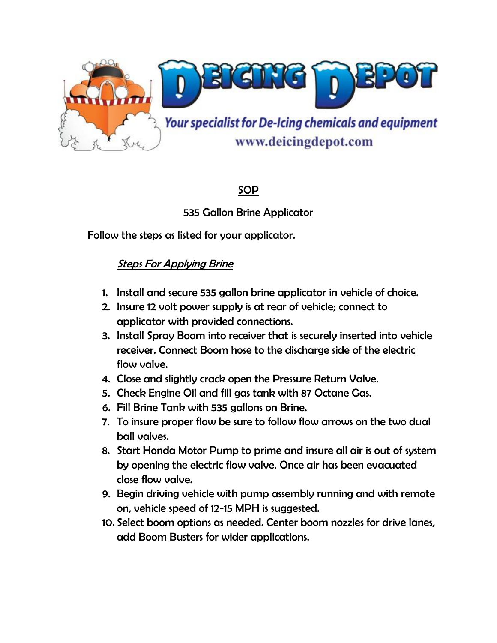

## SOP

## 535 Gallon Brine Applicator

Follow the steps as listed for your applicator.

## Steps For Applying Brine

- 1. Install and secure 535 gallon brine applicator in vehicle of choice.
- 2. Insure 12 volt power supply is at rear of vehicle; connect to applicator with provided connections.
- 3. Install Spray Boom into receiver that is securely inserted into vehicle receiver. Connect Boom hose to the discharge side of the electric flow valve.
- 4. Close and slightly crack open the Pressure Return Valve.
- 5. Check Engine Oil and fill gas tank with 87 Octane Gas.
- 6. Fill Brine Tank with 535 gallons on Brine.
- 7. To insure proper flow be sure to follow flow arrows on the two dual ball valves.
- 8. Start Honda Motor Pump to prime and insure all air is out of system by opening the electric flow valve. Once air has been evacuated close flow valve.
- 9. Begin driving vehicle with pump assembly running and with remote on, vehicle speed of 12-15 MPH is suggested.
- 10. Select boom options as needed. Center boom nozzles for drive lanes, add Boom Busters for wider applications.